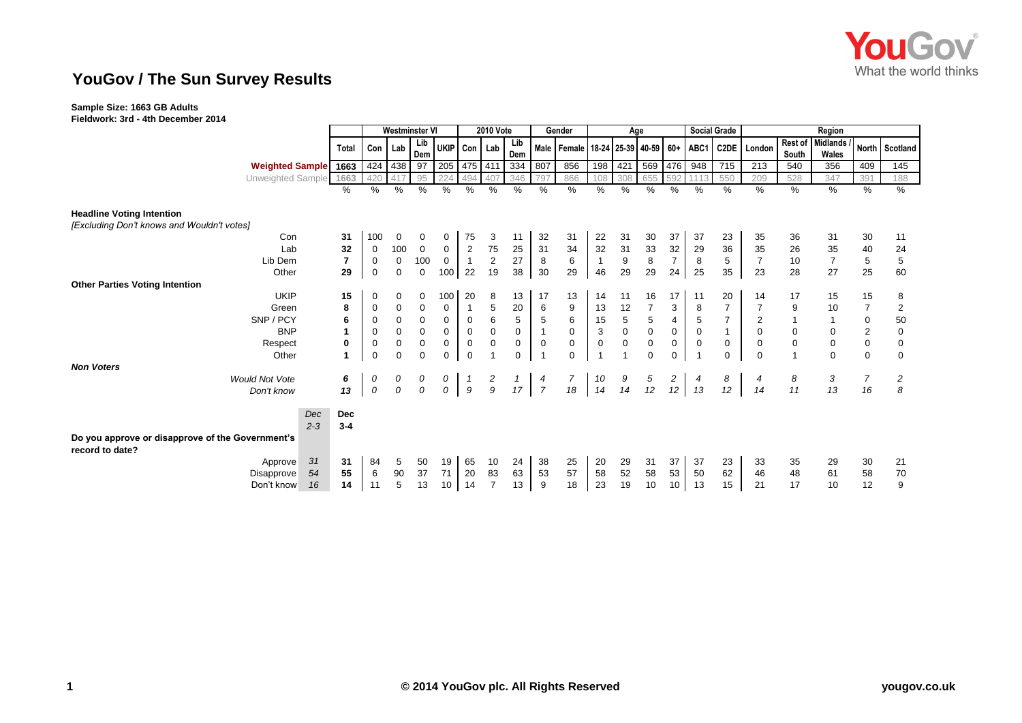

## **YouGov / The Sun Survey Results**

## **Sample Size: 1663 GB Adults**

**Fieldwork: 3rd - 4th December 2014**

|                                                                     |                | Westminster VI |             |             |              |                     | <b>2010 Vote</b> |                 |                | Gender                                      | Age            |             |                |                | <b>Social Grade</b> |                |                | Region      |                  |                |                |
|---------------------------------------------------------------------|----------------|----------------|-------------|-------------|--------------|---------------------|------------------|-----------------|----------------|---------------------------------------------|----------------|-------------|----------------|----------------|---------------------|----------------|----------------|-------------|------------------|----------------|----------------|
|                                                                     | Total          | Con            | Lab         | Lib         | UKIP Con Lab |                     |                  | Lib             |                | Male   Female   18-24   25-39   40-59   60+ |                |             |                |                | ABC1                | <b>C2DE</b>    |                |             | Rest of Midlands | North          | Scotland       |
|                                                                     |                |                |             | Dem         |              |                     |                  | Dem             |                |                                             |                |             |                |                |                     |                | London         | South       | Wales            |                |                |
| <b>Weighted Sample</b>                                              | 1663           | 424            | 438         | 97          | 205          | 475 411             |                  | 334             | 807            | 856                                         | 198            | 421         | 569            | 476            | 948                 | 715            | 213            | 540         | 356              | 409            | 145            |
| Unweighted Sample                                                   | 1663           | 420            |             | 95          |              | 494                 |                  | 346             | 797            | 866                                         | 108            | 308         | 655            | 592            |                     | 550            | 209            | 528         | 347              | 391            | 188            |
|                                                                     | %              | %              | %           | %           | $\%$         | %                   | %                | $\%$            | %              | $\%$                                        | %              | %           | %              | %              | %                   | %              | %              | %           | %                | %              | %              |
| <b>Headline Voting Intention</b>                                    |                |                |             |             |              |                     |                  |                 |                |                                             |                |             |                |                |                     |                |                |             |                  |                |                |
| [Excluding Don't knows and Wouldn't votes]                          |                |                |             |             |              |                     |                  |                 |                |                                             |                |             |                |                |                     |                |                |             |                  |                |                |
| Con                                                                 | 31             | 100            | 0           | 0           | 0            | 75                  | 3                | 11              | 32             | 31                                          | 22             | 31          | 30             | 37             | 37                  | 23             | 35             | 36          | 31               | 30             | 11             |
| Lab                                                                 | 32             | 0              | 100         | $\mathbf 0$ | 0            | $\mathbf 2$         | 75               | 25              | 31             | 34                                          | 32             | 31          | 33             | 32             | 29                  | 36             | 35             | 26          | 35               | 40             | 24             |
| Lib Dem                                                             | $\overline{7}$ | 0              | $\mathbf 0$ | 100         | 0            |                     | $\overline{c}$   | 27              | 8              | 6                                           | $\overline{1}$ | 9           | $\bf 8$        | $\overline{7}$ | 8                   | 5              | $\overline{7}$ | 10          | $\overline{7}$   | 5              | 5              |
| Other                                                               | 29             | $\mathbf 0$    | 0           | 0           | 100          | 22                  | 19               | 38              | 30             | 29                                          | 46             | 29          | 29             | 24             | 25                  | 35             | 23             | 28          | 27               | 25             | 60             |
| <b>Other Parties Voting Intention</b>                               |                |                |             |             |              |                     |                  |                 |                |                                             |                |             |                |                |                     |                |                |             |                  |                |                |
| <b>UKIP</b>                                                         | 15             | 0              | 0           | 0           | 100          | 20                  | 8                | 13              | 17             | 13                                          | 14             | 11          | $16\,$         | 17             | 11                  | 20             | 14             | 17          | 15               | 15             | 8              |
| Green                                                               | 8              | 0              | 0           | 0           | 0            |                     | 5                | 20              | 6              | 9                                           | 13             | 12          | $\overline{7}$ | 3              | 8                   | $\overline{7}$ |                | 9           | 10               | $\overline{7}$ | 2              |
| SNP / PCY                                                           | 6              | 0              | $\mathbf 0$ | $\mathbf 0$ | $\mathbf 0$  | $\mathbf 0$         | 6                | $\sqrt{5}$      | 5              | 6                                           | 15             | $\,$ 5 $\,$ | $\,$ 5 $\,$    | $\overline{4}$ | $\,$ 5 $\,$         | $\overline{7}$ | 2              |             |                  | $\pmb{0}$      | 50             |
| <b>BNP</b>                                                          |                | 0              | 0           | $\mathbf 0$ | 0            | $\mathbf 0$         | $\mathbf 0$      | $\pmb{0}$       |                | $\mathbf 0$                                 | 3              | $\mathsf 0$ | $\mathbf 0$    | $\pmb{0}$      | $\mathbf 0$         |                | $\mathbf 0$    | $\pmb{0}$   |                  | $\sqrt{2}$     | $\pmb{0}$      |
| Respect                                                             | 0              | 0              | $\mathbf 0$ | $\mathbf 0$ | 0            | $\mathsf{O}\xspace$ | $\mathbf 0$      | $\mathbf 0$     | 0              | $\mathbf 0$                                 | 0              | 0           | $\mathsf 0$    | 0              | $\mathbf 0$         | 0              | 0              | $\mathbf 0$ | 0                | $\pmb{0}$      | $\mathbf 0$    |
| Other                                                               | 1              | $\mathbf 0$    | 0           | $\mathbf 0$ | $\mathbf 0$  | $\mathbf 0$         | 1                | $\mathbf 0$     |                | $\mathbf 0$                                 | $\overline{1}$ |             | $\mathbf 0$    | $\mathbf 0$    | - 1                 | 0              | $\Omega$       | 1           | $\Omega$         | $\mathbf 0$    | $\Omega$       |
| <b>Non Voters</b>                                                   |                |                |             |             |              |                     |                  |                 |                |                                             |                |             |                |                |                     |                |                |             |                  |                |                |
| <b>Would Not Vote</b>                                               | 6              | 0              | 0           | 0           | 0            |                     | $\frac{2}{9}$    | $\mathbf{1}$    | 4              | $\overline{7}$                              | 10             | 9           | $\frac{5}{12}$ | $\overline{a}$ | 4                   | 8              |                | 8           | 3                | $\overline{7}$ | $\overline{c}$ |
| Don't know                                                          | 13             | ${\cal O}$     | 0           | 0           | 0            | $\mathfrak g$       |                  | 17 <sup>1</sup> | $\overline{7}$ | 18                                          | 14             | 14          |                | 12             | 13                  | 12             | 14             | 11          | 13               | 16             | 8              |
| Dec                                                                 | <b>Dec</b>     |                |             |             |              |                     |                  |                 |                |                                             |                |             |                |                |                     |                |                |             |                  |                |                |
| $2 - 3$                                                             | $3 - 4$        |                |             |             |              |                     |                  |                 |                |                                             |                |             |                |                |                     |                |                |             |                  |                |                |
| Do you approve or disapprove of the Government's<br>record to date? |                |                |             |             |              |                     |                  |                 |                |                                             |                |             |                |                |                     |                |                |             |                  |                |                |
| 31<br>Approve                                                       | 31             | 84             | 5           | 50          | 19           | 65                  | 10               | 24              | 38             | 25                                          | 20             | 29          | 31             | 37             | 37                  | 23             | 33             | 35          | 29               | 30             | 21             |
| 54<br>Disapprove                                                    | 55             | 6              | 90          | 37          | 71           | 20                  | 83               | 63              | 53             | 57                                          | 58             | 52          | 58             | 53             | 50                  | 62             | 46             | 48          | 61               | 58             | 70             |
| Don't know<br>16                                                    | 14             | 11             | 5           | 13          | 10           | 14                  | $\overline{7}$   | 13              | 9              | 18                                          | 23             | 19          | 10             | $10$           | 13                  | 15             | 21             | 17          | 10               | 12             | 9              |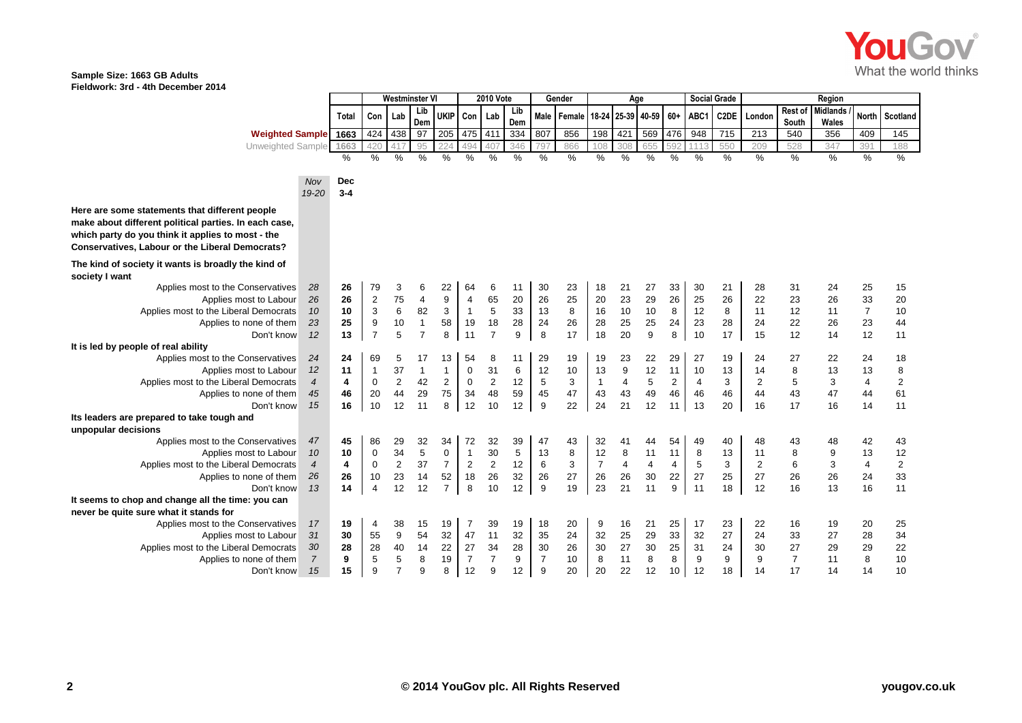

## **Sample Size: 1663 GB Adults Fieldwork: 3rd - 4th December 2014**

|                                                       |                  |         | Westminster V  |                |                | <b>2010 Vote</b> |                |                | Gender |                |               | Age            |                   |                |                | <b>Social Grade</b> |            | Region         |                |                 |                |                         |
|-------------------------------------------------------|------------------|---------|----------------|----------------|----------------|------------------|----------------|----------------|--------|----------------|---------------|----------------|-------------------|----------------|----------------|---------------------|------------|----------------|----------------|-----------------|----------------|-------------------------|
|                                                       |                  | Total   | Con            | Lab            | Lib            | <b>UKIP</b>      | Con Lab        |                | Lib    | Male           | Female        |                | 18-24 25-39 40-59 |                | $60+$          | ABC1                | C2DE       | London         | Rest of        | <b>Midlands</b> | <b>North</b>   | Scotland                |
|                                                       |                  |         |                |                | Dem            |                  |                |                | Dem    |                |               |                |                   |                |                |                     |            |                | South          | Wales           |                |                         |
| <b>Weighted Sample</b>                                |                  | 1663    | 424            | 438            | 97             | 205              | 475            | 411            | 334    | 807            | 856           | 198            | 421               | 569            | 476            | 948                 | 715        | 213            | 540            | 356             | 409            | 145                     |
| Unweighted Sample                                     |                  | 1663    | 420            |                | 95             |                  | 494            | 407            | 346    | 79             | 866           | 108            | 308               | 655            | 592            | 111                 | 550        | 209            | 528            | 347             | 391            | 188                     |
|                                                       |                  | $\%$    | $\%$           | $\frac{0}{0}$  | $\%$           | $\%$             | $\%$           | $\frac{0}{0}$  | $\%$   | $\%$           | $\frac{0}{6}$ | $\%$           | $\%$              | $\%$           | $\%$           | %                   | $\%$       | $\frac{9}{6}$  | %              | $\frac{0}{6}$   | %              | %                       |
|                                                       |                  |         |                |                |                |                  |                |                |        |                |               |                |                   |                |                |                     |            |                |                |                 |                |                         |
|                                                       | Nov              | Dec     |                |                |                |                  |                |                |        |                |               |                |                   |                |                |                     |            |                |                |                 |                |                         |
|                                                       | 19-20            | $3 - 4$ |                |                |                |                  |                |                |        |                |               |                |                   |                |                |                     |            |                |                |                 |                |                         |
| Here are some statements that different people        |                  |         |                |                |                |                  |                |                |        |                |               |                |                   |                |                |                     |            |                |                |                 |                |                         |
| make about different political parties. In each case, |                  |         |                |                |                |                  |                |                |        |                |               |                |                   |                |                |                     |            |                |                |                 |                |                         |
| which party do you think it applies to most - the     |                  |         |                |                |                |                  |                |                |        |                |               |                |                   |                |                |                     |            |                |                |                 |                |                         |
| Conservatives, Labour or the Liberal Democrats?       |                  |         |                |                |                |                  |                |                |        |                |               |                |                   |                |                |                     |            |                |                |                 |                |                         |
|                                                       |                  |         |                |                |                |                  |                |                |        |                |               |                |                   |                |                |                     |            |                |                |                 |                |                         |
| The kind of society it wants is broadly the kind of   |                  |         |                |                |                |                  |                |                |        |                |               |                |                   |                |                |                     |            |                |                |                 |                |                         |
| society I want                                        |                  |         |                |                |                |                  |                |                |        |                |               |                |                   |                |                |                     |            |                |                |                 |                |                         |
| Applies most to the Conservatives                     | 28               | 26      | 79             | 3              | 6              | 22               | 64             | 6              | 11     | 30             | 23            | 18             | 21                | 27             | 33             | 30                  | 21         | 28             | 31             | 24              | 25             | 15                      |
| Applies most to Labour                                | 26               | 26      | $\overline{2}$ | 75             | 4              | 9                | $\overline{4}$ | 65             | 20     | 26             | 25            | 20             | 23                | 29             | 26             | 25                  | 26         | 22             | 23             | 26              | 33             | 20                      |
| Applies most to the Liberal Democrats                 | 10               | 10      | 3              | 6              | 82             | 3                | $\mathbf{1}$   | 5              | 33     | 13             | 8             | 16             | 10                | $10$           | 8              | 12                  | 8          | 11             | 12             | 11              | $\overline{7}$ | 10                      |
| Applies to none of them                               | 23               | 25      | 9              | 10             | $\mathbf{1}$   | 58               | 19             | 18             | 28     | 24             | 26            | 28             | 25                | 25             | 24             | 23                  | 28         | 24             | 22             | 26              | 23             | 44                      |
| Don't know                                            | 12               | 13      | $\overline{7}$ | 5              | $\overline{7}$ | 8                | 11             | $\overline{7}$ | 9      | 8              | 17            | 18             | 20                | 9              | 8              | 10                  | 17         | 15             | 12             | 14              | 12             | 11                      |
| It is led by people of real ability                   |                  |         |                |                |                |                  |                |                |        |                |               |                |                   |                |                |                     |            |                |                |                 |                |                         |
| Applies most to the Conservatives                     | 24               | 24      | 69             | 5              | 17             | 13               | 54             | 8              | 11     | 29             | 19            | 19             | 23                | 22             | 29             | 27                  | 19         | 24             | 27             | 22              | 24             | 18                      |
| Applies most to Labour                                | 12               | 11      | $\mathbf{1}$   | 37             | $\mathbf{1}$   | $\mathbf{1}$     | 0              | 31             | 6      | 12             | 10            | 13             | 9                 | 12             | 11             | 10                  | 13         | 14             | 8              | 13              | 13             | 8                       |
| Applies most to the Liberal Democrats                 | $\overline{4}$   | 4       | $\mathbf 0$    | 2              | 42             | 2                | $\mathbf 0$    | $\sqrt{2}$     | 12     | 5              | 3             | $\mathbf{1}$   | 4                 | 5              | $\overline{2}$ | 4                   | 3          | $\sqrt{2}$     | 5              | 3               | 4              | $\overline{\mathbf{c}}$ |
| Applies to none of them                               | 45               | 46      | 20             | 44             | 29             | 75               | 34             | 48             | 59     | 45             | 47            | 43             | 43                | 49             | 46             | 46                  | 46         | 44             | 43             | 47              | 44             | 61                      |
| Don't know                                            | 15               | 16      | 10             | 12             | 11             | 8                | 12             | 10             | 12     | 9              | 22            | 24             | 21                | 12             | 11             | 13                  | 20         | 16             | 17             | 16              | 14             | 11                      |
| Its leaders are prepared to take tough and            |                  |         |                |                |                |                  |                |                |        |                |               |                |                   |                |                |                     |            |                |                |                 |                |                         |
| unpopular decisions                                   |                  |         |                |                |                |                  |                |                |        |                |               |                |                   |                |                |                     |            |                |                |                 |                |                         |
| Applies most to the Conservatives                     | 47               | 45      | 86             | 29             | 32             | 34               | 72             | 32             | 39     | 47             | 43            | 32             | 41                | 44             | 54             | 49                  | 40         | 48             | 43             | 48              | 42             | 43                      |
| Applies most to Labour                                | 10               | 10      | $\pmb{0}$      | 34             | 5              | $\boldsymbol{0}$ | $\mathbf{1}$   | 30             | 5      | 13             | 8             | 12             | 8                 | 11             | 11             | 8                   | 13         | 11             | 8              | 9               | 13             | 12                      |
| Applies most to the Liberal Democrats                 | $\boldsymbol{4}$ | 4       | $\mathbf 0$    | $\overline{2}$ | 37             | $\overline{7}$   | $\mathbf 2$    | $\sqrt{2}$     | 12     | 6              | 3             | $\overline{7}$ | 4                 | $\overline{4}$ | 4              | 5                   | $\sqrt{3}$ | $\overline{2}$ | $\overline{6}$ | 3               | 4              | $\sqrt{2}$              |
| Applies to none of them                               | 26               | 26      | 10             | 23             | 14             | 52               | 18             | 26             | 32     | 26             | 27            | 26             | 26                | 30             | 22             | 27                  | 25         | 27             | 26             | 26              | 24             | 33                      |
| Don't know                                            | 13               | 14      | $\overline{4}$ | 12             | 12             | $\overline{7}$   | 8              | 10             | 12     | 9              | 19            | 23             | 21                | 11             | 9              | 11                  | 18         | 12             | 16             | 13              | 16             | 11                      |
| It seems to chop and change all the time: you can     |                  |         |                |                |                |                  |                |                |        |                |               |                |                   |                |                |                     |            |                |                |                 |                |                         |
| never be quite sure what it stands for                |                  |         |                |                |                |                  |                |                |        |                |               |                |                   |                |                |                     |            |                |                |                 |                |                         |
| Applies most to the Conservatives                     | 17               | 19      | 4              | 38             | 15             | 19               | $\overline{7}$ | 39             | 19     | 18             | 20            | 9              | 16                | 21             | 25             | 17                  | 23         | 22             | 16             | 19              | 20             | 25                      |
| Applies most to Labour                                | 31               | 30      | 55             | 9              | 54             | 32               | 47             | 11             | 32     | 35             | 24            | 32             | 25                | 29             | 33             | 32                  | 27         | 24             | 33             | 27              | 28             | 34                      |
| Applies most to the Liberal Democrats                 | 30               | 28      | 28             | 40             | 14             | 22               | 27             | 34             | 28     | 30             | 26            | 30             | $27\,$            | 30             | 25             | 31                  | 24         | 30             | 27             | 29              | 29             | 22                      |
| Applies to none of them                               | $\overline{7}$   | 9       | 5              | 5              | 8              | 19               | $\overline{7}$ | $\overline{7}$ | 9      | $\overline{7}$ | 10            | 8              | 11                | 8              | 8              | 9                   | 9          | 9              | $\overline{7}$ | 11              | 8              | 10                      |
| Don't know                                            | 15               | 15      | 9              | $\overline{7}$ | 9              | 8                | 12             | 9              | 12     | 9              | 20            | 20             | 22                | 12             | 10             | 12                  | 18         | 14             | 17             | 14              | 14             | 10                      |